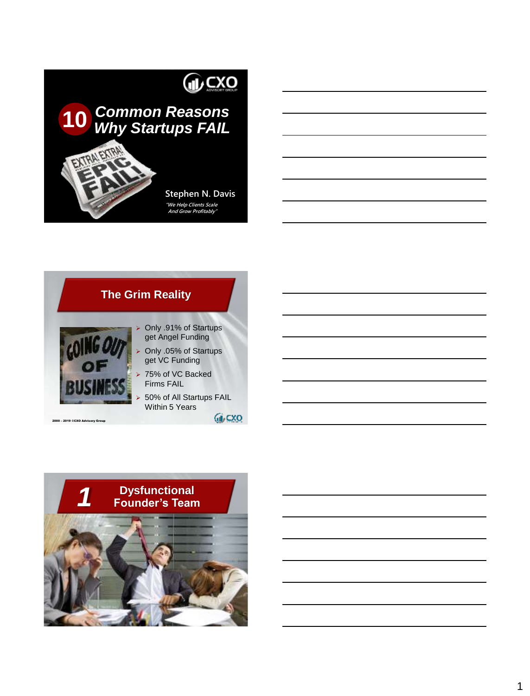

# *Common Reasons Why Startups FAIL* **10**

AI EXTRA

**Stephen N. Davis "We Help Clients Scale And Grow Profitably"**



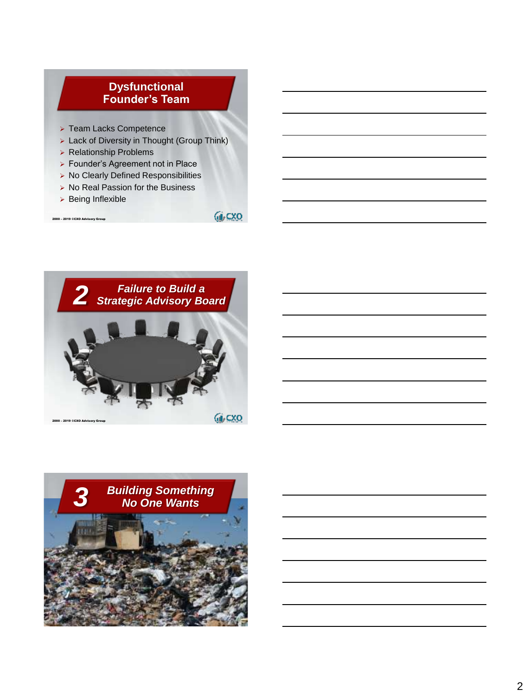### **Dysfunctional Founder's Team**

- ➢ Team Lacks Competence
- ➢ Lack of Diversity in Thought (Group Think)
- ➢ Relationship Problems
- ➢ Founder's Agreement not in Place
- ➢ No Clearly Defined Responsibilities
- ➢ No Real Passion for the Business
- ➢ Being Inflexible

2000 – 2019 ©CXO Advisory Group

**GLCXO** 



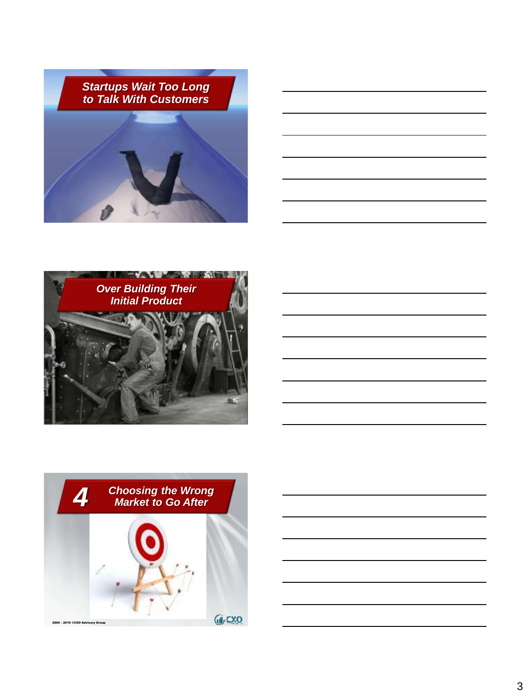





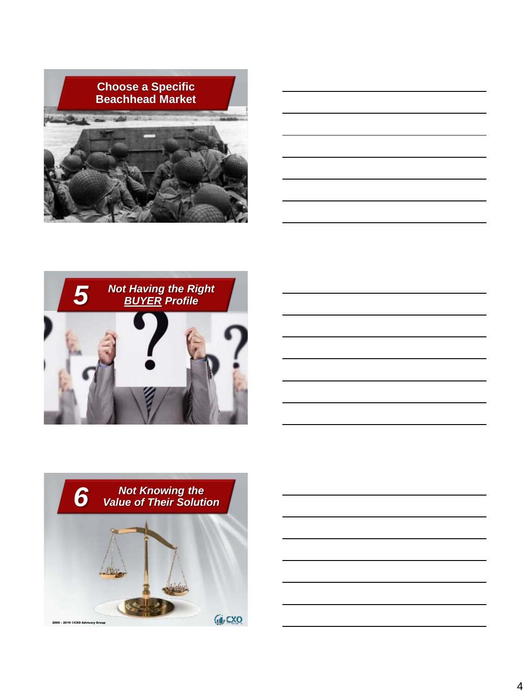







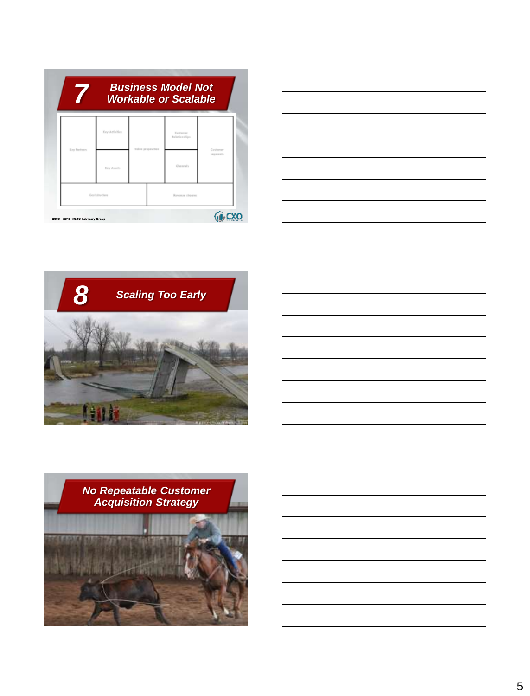| 7                               |                 | <b>Business Model Not</b><br><b>Workable or Scalable</b> |                            |                              |  |
|---------------------------------|-----------------|----------------------------------------------------------|----------------------------|------------------------------|--|
| Key Parlmers                    | Key Adivities   | <b>Walter properties</b>                                 | Cashierer<br>Belefiewelles | Castromer<br>sangers and is. |  |
|                                 | Key Avoris      |                                                          | Channels                   |                              |  |
|                                 | Goal sinucture. |                                                          | Ransamou cheapons          |                              |  |
| 2000 - 2019 ©CXO Advisory Group |                 |                                                          |                            |                              |  |





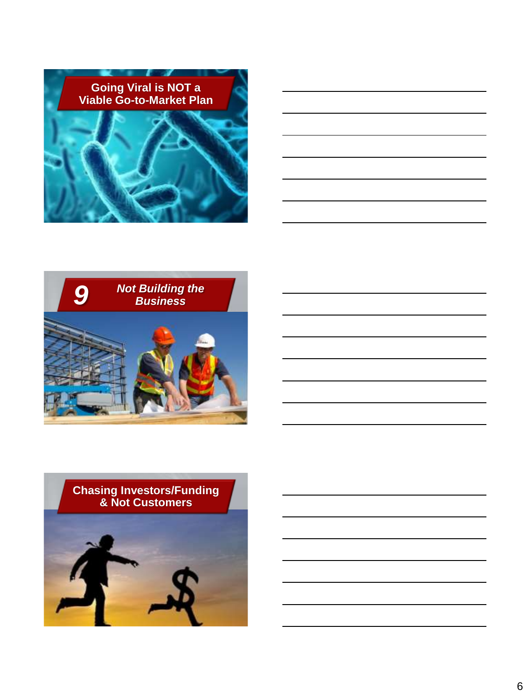





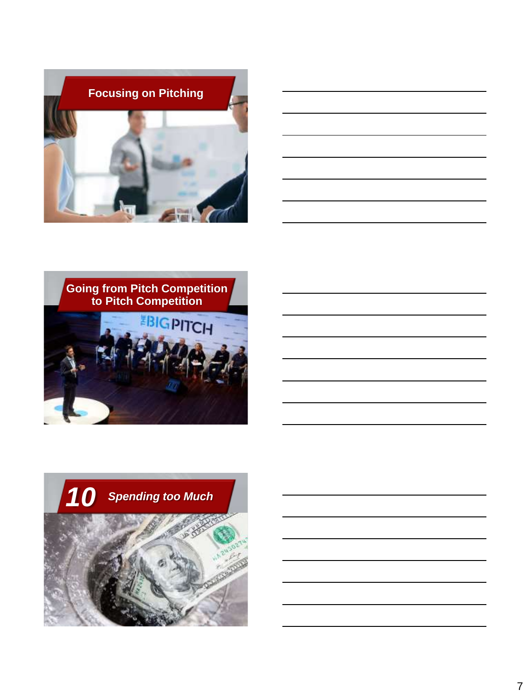





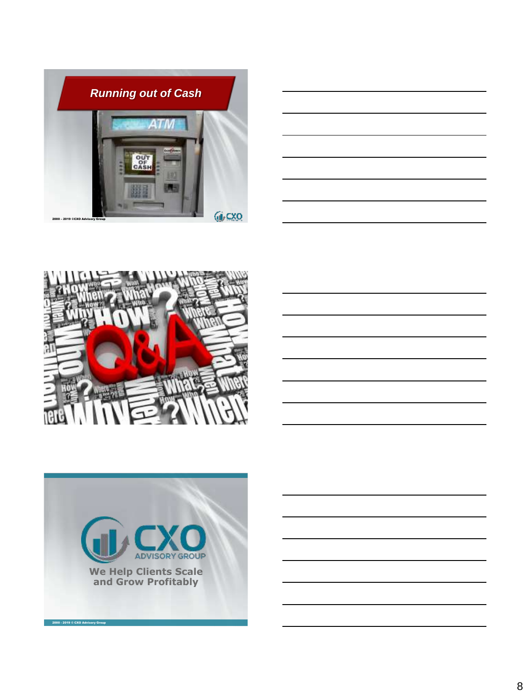





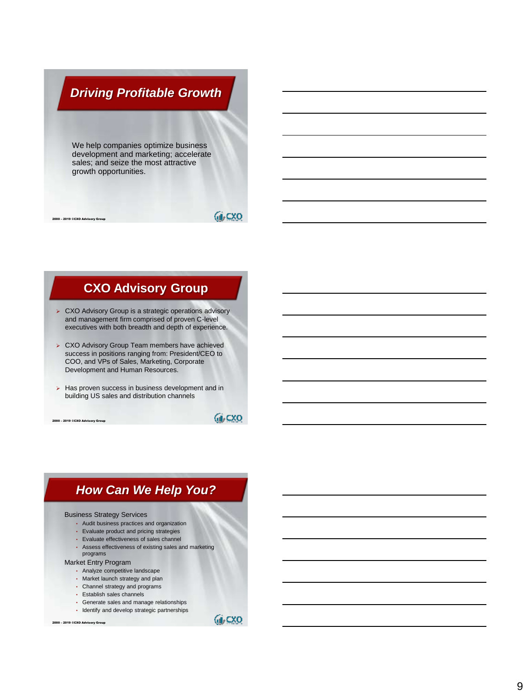# *Driving Profitable Growth Driving Profitable Growth*

We help companies optimize business development and marketing; accelerate sales; and seize the most attractive growth opportunities.

2000 – 2019 ©CXO Advisory Group

2000 – 2019 ©CXO Advisory Group

### **GLCXO**

## **CXO Advisory Group**

- ➢ CXO Advisory Group is a strategic operations advisory and management firm comprised of proven C-level executives with both breadth and depth of experience.
- ➢ CXO Advisory Group Team members have achieved success in positions ranging from: President/CEO to COO, and VPs of Sales, Marketing, Corporate Development and Human Resources.
- ➢ Has proven success in business development and in building US sales and distribution channels

**GUCXO** 

## *How Can We Help You?*

#### Business Strategy Services

- Audit business practices and organization
- Evaluate product and pricing strategies
- Evaluate effectiveness of sales channel
- Assess effectiveness of existing sales and marketing programs

### Market Entry Program

- Analyze competitive landscape
- Market launch strategy and plan
- Channel strategy and programs
- Establish sales channels
- Generate sales and manage relationships
- Identify and develop strategic partnerships

2000 – 2019 ©CXO Advisory Group